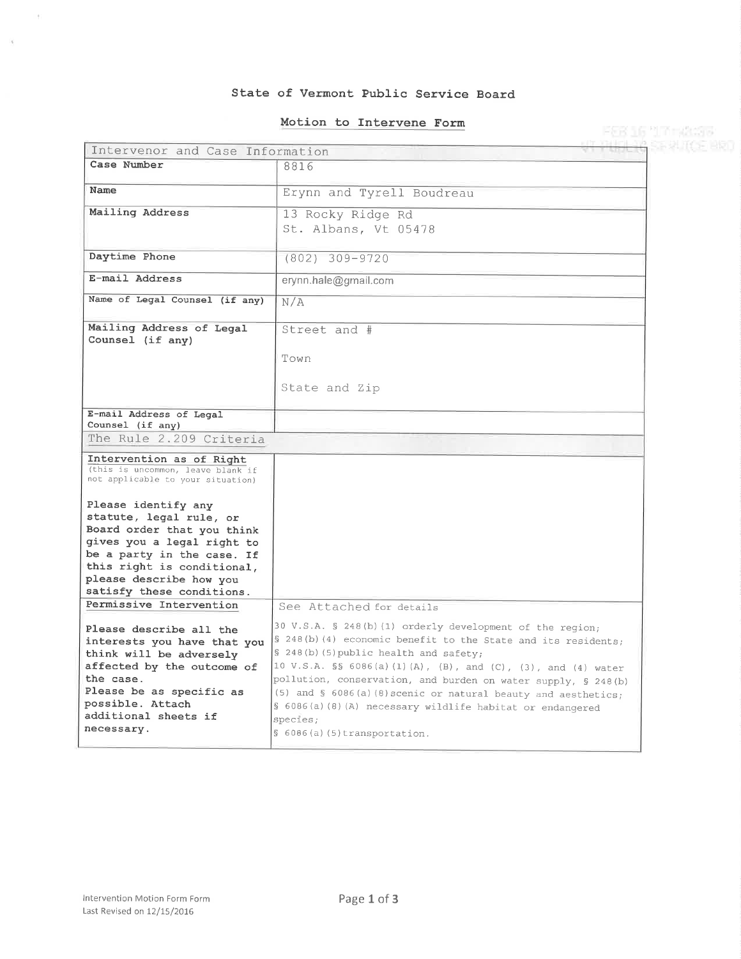# State of Vermont Pub1ic Service Board

#### Motion to Intervene Form

|                                                                                                                                                                                                                                | Motion to Intervene Form                                                                                                                                                                                                                                                                                                                                                                                                                                                        |  |  |
|--------------------------------------------------------------------------------------------------------------------------------------------------------------------------------------------------------------------------------|---------------------------------------------------------------------------------------------------------------------------------------------------------------------------------------------------------------------------------------------------------------------------------------------------------------------------------------------------------------------------------------------------------------------------------------------------------------------------------|--|--|
| Intervenor and Case Information                                                                                                                                                                                                |                                                                                                                                                                                                                                                                                                                                                                                                                                                                                 |  |  |
| Case Number                                                                                                                                                                                                                    | 8816                                                                                                                                                                                                                                                                                                                                                                                                                                                                            |  |  |
|                                                                                                                                                                                                                                |                                                                                                                                                                                                                                                                                                                                                                                                                                                                                 |  |  |
| Name                                                                                                                                                                                                                           | Erynn and Tyrell Boudreau                                                                                                                                                                                                                                                                                                                                                                                                                                                       |  |  |
| Mailing Address                                                                                                                                                                                                                | 13 Rocky Ridge Rd                                                                                                                                                                                                                                                                                                                                                                                                                                                               |  |  |
|                                                                                                                                                                                                                                | St. Albans, Vt 05478                                                                                                                                                                                                                                                                                                                                                                                                                                                            |  |  |
| Daytime Phone                                                                                                                                                                                                                  | $(802)$ 309-9720                                                                                                                                                                                                                                                                                                                                                                                                                                                                |  |  |
| E-mail Address                                                                                                                                                                                                                 | erynn.hale@gmail.com                                                                                                                                                                                                                                                                                                                                                                                                                                                            |  |  |
| Name of Legal Counsel (if any)                                                                                                                                                                                                 | N/A                                                                                                                                                                                                                                                                                                                                                                                                                                                                             |  |  |
| Mailing Address of Legal<br>Counsel (if any)                                                                                                                                                                                   | Street and #                                                                                                                                                                                                                                                                                                                                                                                                                                                                    |  |  |
|                                                                                                                                                                                                                                | Town                                                                                                                                                                                                                                                                                                                                                                                                                                                                            |  |  |
|                                                                                                                                                                                                                                | State and Zip                                                                                                                                                                                                                                                                                                                                                                                                                                                                   |  |  |
| E-mail Address of Legal<br>Counsel (if any)                                                                                                                                                                                    |                                                                                                                                                                                                                                                                                                                                                                                                                                                                                 |  |  |
| The Rule 2.209 Criteria                                                                                                                                                                                                        |                                                                                                                                                                                                                                                                                                                                                                                                                                                                                 |  |  |
| Intervention as of Right<br>(this is uncommon, leave blank if<br>not applicable to your situation)                                                                                                                             |                                                                                                                                                                                                                                                                                                                                                                                                                                                                                 |  |  |
| Please identify any<br>statute, legal rule, or<br>Board order that you think<br>gives you a legal right to<br>be a party in the case. If<br>this right is conditional,<br>please describe how you<br>satisfy these conditions. |                                                                                                                                                                                                                                                                                                                                                                                                                                                                                 |  |  |
| Permissive Intervention                                                                                                                                                                                                        | See Attached for details                                                                                                                                                                                                                                                                                                                                                                                                                                                        |  |  |
| Please describe all the<br>interests you have that you<br>think will be adversely<br>affected by the outcome of<br>the case.<br>Please be as specific as<br>possible. Attach<br>additional sheets if<br>necessary.             | 30 V.S.A. § 248(b)(1) orderly development of the region;<br>§ 248(b)(4) economic benefit to the State and its residents;<br>§ 248(b)(5) public health and safety;<br>10 V.S.A. §§ 6086(a)(1)(A), (B), and (C), (3), and (4) water<br>pollution, conservation, and burden on water supply, § 248(b)<br>$(5)$ and § 6086(a)(8) scenic or natural beauty and aesthetics;<br>§ 6086(a)(8)(A) necessary wildlife habitat or endangered<br>species;<br>$\S$ 6086(a)(5)transportation. |  |  |

 $\rightarrow$ 

 $\bar{8}$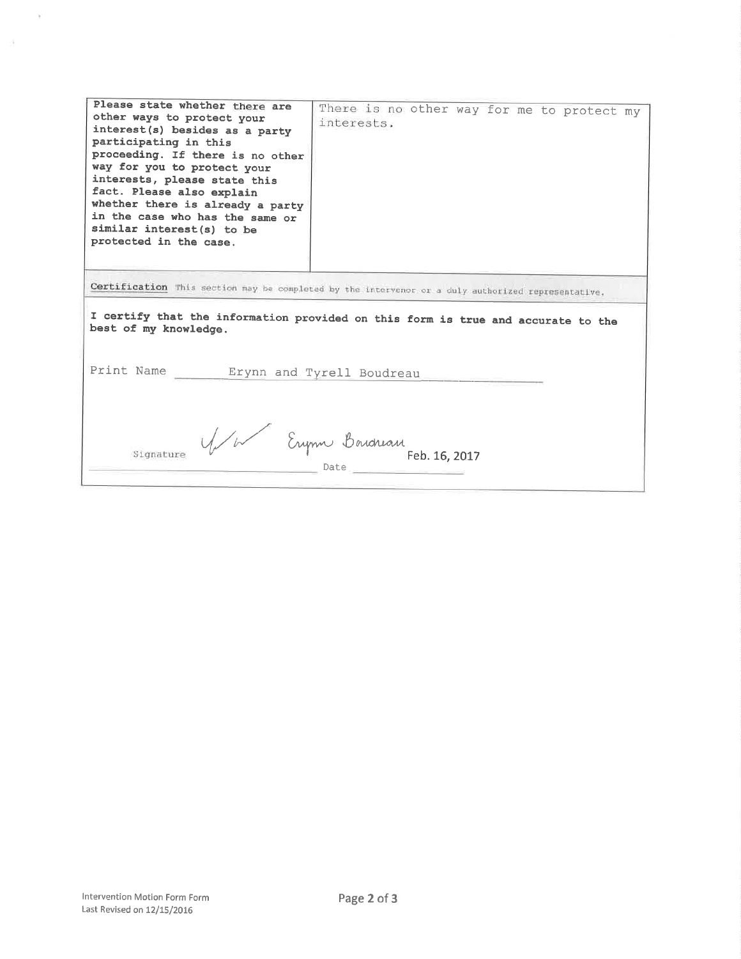| Please state whether there are<br>other ways to protect your<br>interest(s) besides as a party<br>participating in this<br>proceeding. If there is no other<br>way for you to protect your<br>interests, please state this<br>fact. Please also explain<br>whether there is already a party<br>in the case who has the same or<br>similar interest(s) to be<br>protected in the case. | There is no other way for me to protect my<br>interests. |  |  |
|---------------------------------------------------------------------------------------------------------------------------------------------------------------------------------------------------------------------------------------------------------------------------------------------------------------------------------------------------------------------------------------|----------------------------------------------------------|--|--|
| Certification This section may be completed by the intervenor or a duly authorized representative.                                                                                                                                                                                                                                                                                    |                                                          |  |  |
| I certify that the information provided on this form is true and accurate to the<br>best of my knowledge.                                                                                                                                                                                                                                                                             |                                                          |  |  |
| Print Name Brynn and Tyrell Boudreau                                                                                                                                                                                                                                                                                                                                                  |                                                          |  |  |
| Erym Boudreau Feb. 16, 2017<br>Signature                                                                                                                                                                                                                                                                                                                                              |                                                          |  |  |

 $\chi$ 

 $\beta$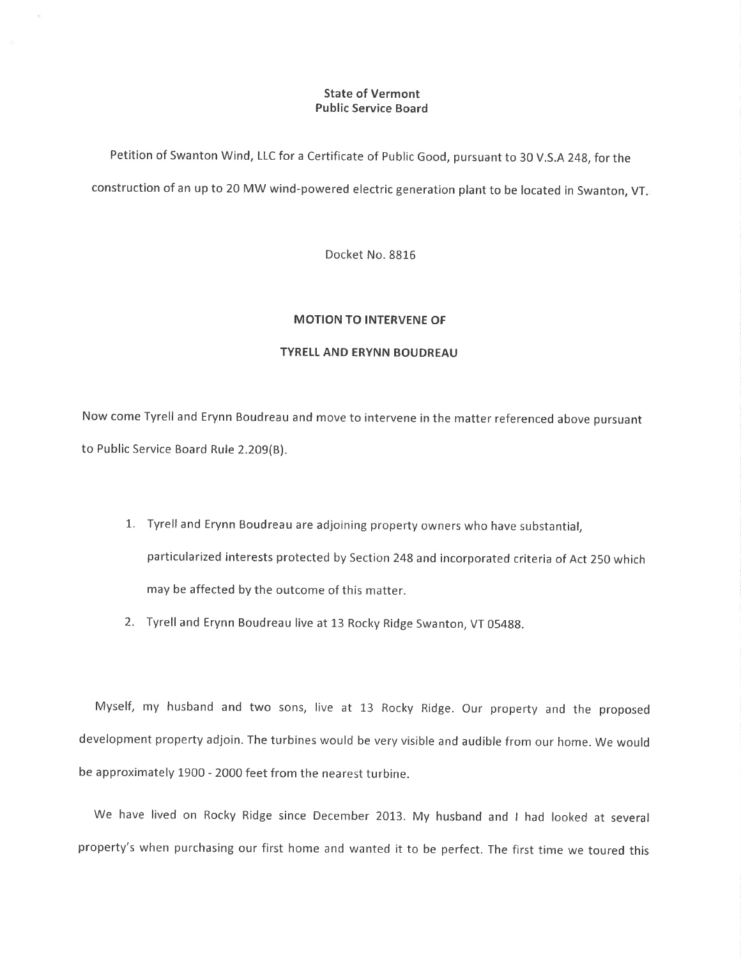## State of Vermont Public Service Board

Petition of Swanton Wind, LLC for a Certificate of Public Good, pursuant to 30 V.S.A 248, for the construction of an up to 20 MW wind-powered electric generation plant to be located in Swanton, VT

Docket No. 8816

## MOTION TO INTERVENE OF

#### TYRELL AND ERYNN BOUDREAU

Now come Tyrell and Erynn Boudreau and move to intervene ín the matter referenced above pursuant to Public Service Board Rule 2.209(B).

- 1. Tyrell and Erynn Boudreau are adjoining property owners who have substantial, particularized interests protected by Section 248 and incorporated criteria of Act 250 which may be affected by the outcome of this matter.
- 2. Tyrell and Erynn Boudreau live at 13 Rocky Ridge Swanton, VT 0548g.

Myself, my husband and two sons, live at 13 Rocky Ridge. Our property and the proposed development property adjoin. The turbines would be very visible and audible from our home. We would be approximately 1900 - 2000 feet from the nearest turbine.

We have lived on Rocky Ridge since December 2013. My husband and I had looked at several property's when purchasing our first home and wanted it to be perfect. The first time we toured this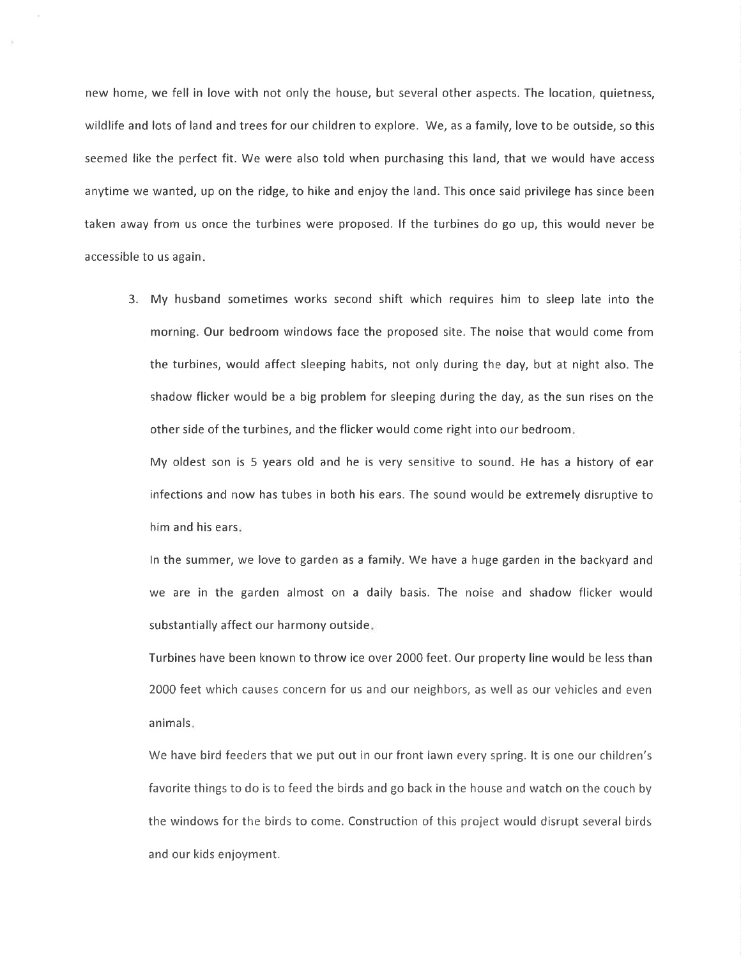new home, we fell in love with not only the house, but several other aspects. The location, quietness, wildlife and lots of land and trees for our children to explore. We, as a family, love to be outside, so this seemed like the perfect fit. We were also told when purchasing this land, that we would have access anytime we wanted, up on the ridge, to hike and enjoy the land. This once said privilege has since been taken away from us once the turbines were proposed. lf the turbines do go up, this would never be accessible to us again

3. My husband sometimes works second shift which requires him to sleep late into the morning. Our bedroom windows face the proposed site. The noise that would come from the turbines, would affect sleeping habits, not only during the day, but at night also. The shadow flicker would be a big problem for sleeping during the day, as the sun rises on the other side of the turbines, and the flicker would come right into our bedroom

My oldest son is 5 years old and he is very sensitive to sound. He has a history of ear infections and now has tubes in both his ears. The sound would be extremely disruptive to him and his ears

ln the summer, we love to garden as a family. We have a huge garden in the backyard and we are in the garden almost on a daily basis. The noise and shadow flicker would substantially affect our harmony outside

Turbines have been known to throw ice over 2000 feet. Our property line would be less than 2000 feet which causes concern for us and our neighbors, as well as our vehicles and even animals

We have bird feeders that we put out in our front lawn every spring. lt is one our children's favorite things to do is to feed the birds and go back in the house and watch on the couch by the windows for the birds to come. Construction of this project would disrupt several birds and our kids enjoyment.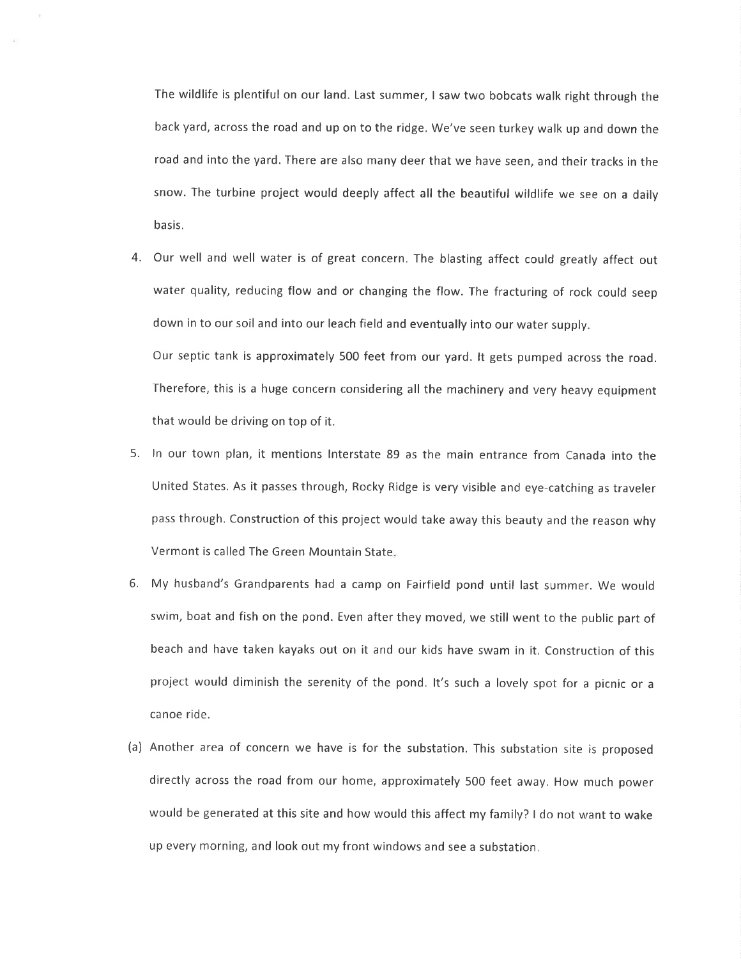The wildlife is plentiful on our land. Last summer, I saw two bobcats walk right through the back yard, across the road and up on to the ridge. We've seen turkey walk up and down the road and ínto the yard. There are also many deer that we have seen, and their tracks in the snow. The turbine project would deeply affect all the beautiful wildlife we see on a daily basis.

- 4. Our well and well water is of great concern. The blasting affect could greatly affect out water quality, reducing flow and or changing the flow. The fracturing of rock could seep down in to our soil and into our leach field and eventually into our water supply. Our septic tank is approximately 500 feet from our yard. lt gets pumped across the road. Therefore, this is a huge concern considering all the machinery and very heavy equipment that would be driving on top of it.
- 5. ln our town plan, it mentions lnterstate 89 as the main entrance from Canada into the United States. As it passes through, Rocky Ridge is very visible and eye-catching as traveler pass through. Construction of this project would take away this beauty and the reason why Vermont is called The Green Mountain State.
- 6. My husband's Grandparents had a camp on Fairfield pond until last summer. We would swim, boat and fish on the pond. Even after they moved, we still went to the public part of beach and have taken kayaks out on it and our kids have swam in it. Construction of this project would diminish the serenity of the pond. lt's such a lovely spot for a picnic or <sup>a</sup> canoe ride.
- (a) Another area of concern we have is for the substation. This substation site is proposed directly across the road from our home, approximately 500 feet away. How much power would be generated at this site and how would this affect my family? I do not want to wake up every morning, and look out my front windows and see a substation.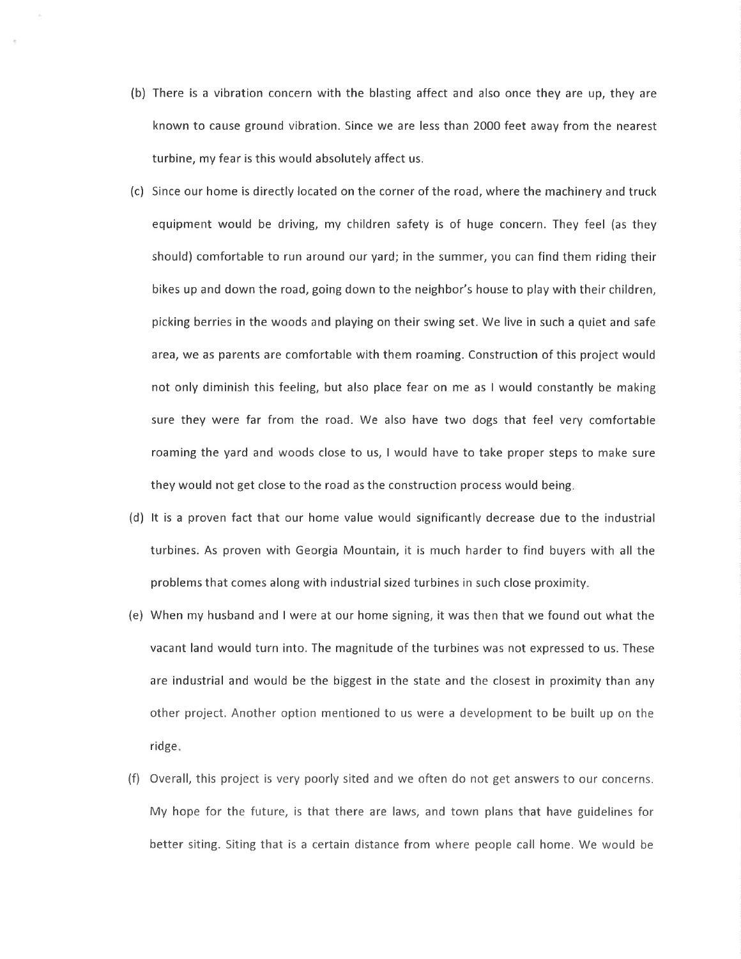- (b) There is a vibration concern with the blasting affect and also once they are up, they are known to cause ground vibration. Since we are less than 2000 feet away from the nearest turbine, my fear is this would absolutely affect us.
- (c) Since our home is directly located on the corner of the road, where the machinery and truck equipment would be driving, my children safety is of huge concern. They feel (as they should) comfortable to run around our yard; in the summer, you can find them riding their bikes up and down the road, going down to the neighbor's house to play with their children, picking berries in the woods and playing on their swing set. We live in such a quiet and safe area, we as parents are comfortable with them roaming. Construction of this project would not only diminish this feeling, but also place fear on me as lwould constantly be making sure they were far from the road. We also have two dogs that feel very comfortable roaming the yard and woods close to us, lwould have to take proper steps to make sure they would not get close to the road as the construction process would being
- (d) lt is a proven fact that our home value would significantly decrease due to the industrial turbines. As proven with Georgia Mountain, it is much harder to find buyers with all the problems that comes along with industrial sized turbines in such close proximity
- (e) When my husband and lwere at our home signing, it was then that we found out what the vacant land would turn into. The magnitude of the turbines was not expressed to us. These are industrial and would be the biggest in the state and the closest in proximity than any other project. Another option mentioned to us were a development to be built up on the ridge
- (f) Overall, this project is very poorly sited and we often do not get answers to our concerns. My hope for the future, is that there are laws, and town plans that have guidelines for better siting. Siting that is a certain distance from where people call home. We would be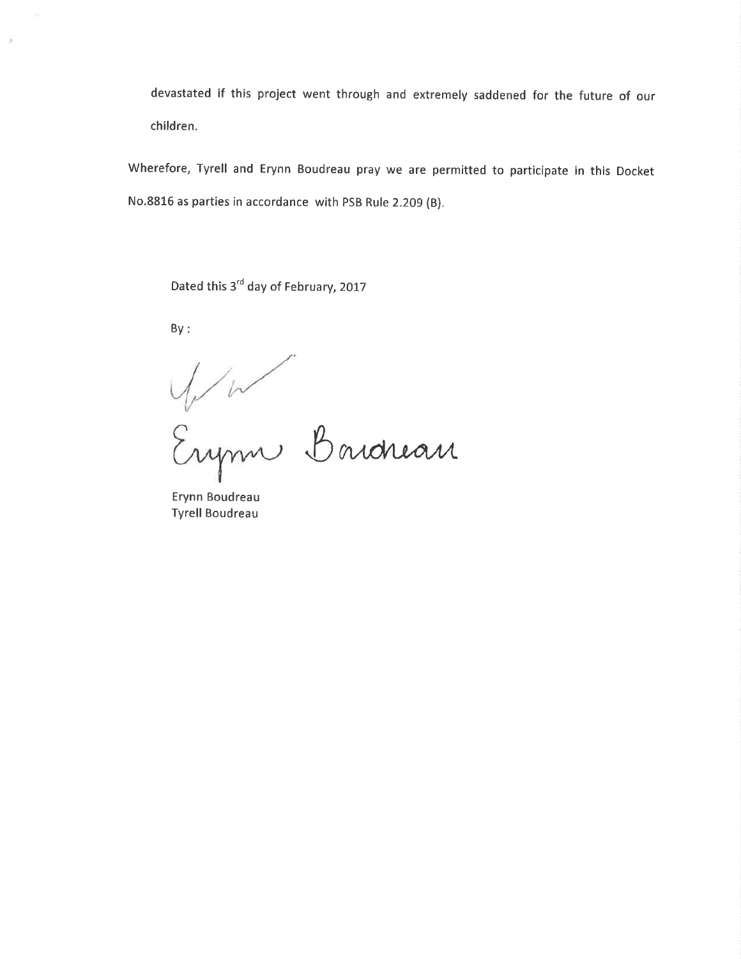devastated if this project went through and extremely saddened for the future of our children.

Wherefore, Tyrell and Erynn Boudreau pray we are permitted to participate in this Docket No.8816 as parties in accordance with PSB Rule 2.209 (B).

Dated this 3<sup>rd</sup> day of February, 2017

By:

 $\mathcal{Q}$ 

Imm Bowneau

Erynn Boudreau Tyrell Boudreau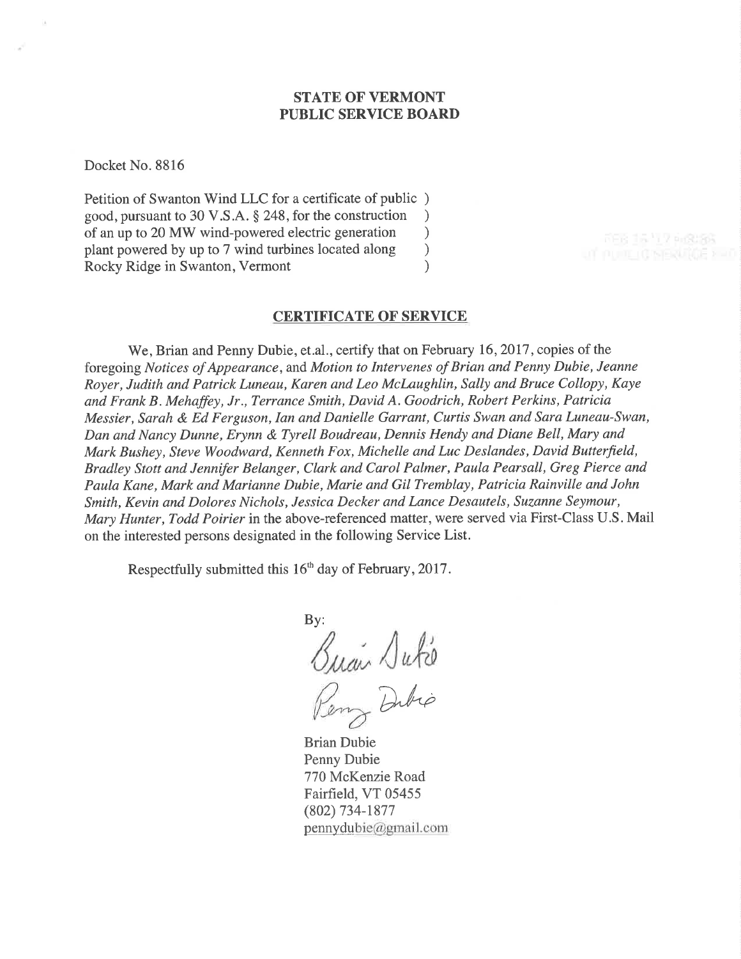# STATE OF VERMONT PUBLIC SERVICE BOARD

Docket No. 8816

Petition of Swanton Wind LLC for a certificate of public ) good, pursuant to 30 V.S.A. \$ 248, for the construction ) of an up to 20 MW wind-powered electric generation <br>plant powered by up to 7 wind turbines located along ) plant powered by up to 7 wind turbines located along <br>Rocky Ridge in Swanton, Vermont (1) Rocky Ridge in Swanton, Vermont )

# CERTIFICATE OF SERVICE

We, Brian and Penny Dubie, et.al., certify that on February 16, 2017, copies of the foregoing Notices of Appearance, and Motion to Intervenes of Brian and Penny Dubie, Jeanne Royer, Judith and Patrick Luneau, Karen and Leo McLaughlin, Sally and Bruce Collopy, Kaye and Frank B . Mehaffey, Jr., Terrance Smith, David A. Goodrich, Robert Perkins, Patricia Messier, Sarah & Ed Ferguson, Ian and Danielle Garrant, Curtis Swan and Sara Luneau-Swan, Dan and Nancy Dunne, Erynn & Tyrell Boudreau, Dennis Hendy and Diane Bell, Mary and Mark Bushey, Steve Woodward, Kenneth Fox, Michelle and Luc Deslandes, David Butterfield, Bradley Stott and Jennifer Belanger, Clark and Carol Palmer, Paula Pearsall, Greg Pierce and Paula Kane, Mark and Marianne Dubie, Marie and Gil Tremblay, Patricia Rainvílle and John Smith, Kevin and Dolores Nichols, Jessica Decker and Lance Desautels, Suzanne Seymour, Mary Hunter, Todd Poirier in the above-referenced matter, were served via First-Class U.S. Mail on the interested persons designated in the following Service List.

Respectfully submitted this 16<sup>th</sup> day of February, 2017.

By: Buan Dute Dibio

Brian Dubie Penny Dubie 770 McKenzie Road Fairfield, VT 05455 (802) 734-1877  $p$ ennydubie $a$ gmail.com